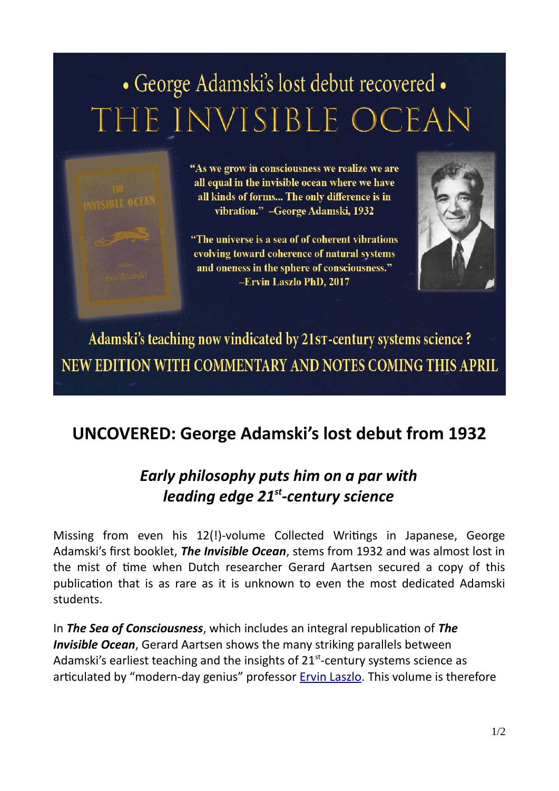## · George Adamski's lost debut recovered . THE INVISIBLE OCEAN



"As we grow in consciousness we realize we are all equal in the invisible ocean where we have all kinds of forms... The only difference is in vibration." - George Adamski, 1932

"The universe is a sea of of coherent vibrations evolving toward coherence of natural systems and oneness in the sphere of consciousness." -Ervin Laszlo PhD, 2017



Adamski's teaching now vindicated by 21sT-century systems science ? NEW EDITION WITH COMMENTARY AND NOTES COMING THIS APRIL

## **UNCOVERED: George Adamski's lost debut from 1932**

## *Early philosophy puts him on a par with leading edge 21st-century science*

Missing from even his 12(!)-volume Collected Writings in Japanese, George Adamski's first booklet, *The Invisible Ocean*, stems from 1932 and was almost lost in the mist of time when Dutch researcher Gerard Aartsen secured a copy of this publication that is as rare as it is unknown to even the most dedicated Adamski students.

In *The Sea of Consciousness*, which includes an integral republication of *The Invisible Ocean*, Gerard Aartsen shows the many striking parallels between Adamski's earliest teaching and the insights of  $21<sup>st</sup>$ -century systems science as articulated by "modern-day genius" professor **[Ervin Laszlo](https://ervinlaszlo.com/index.php/biography)**. This volume is therefore